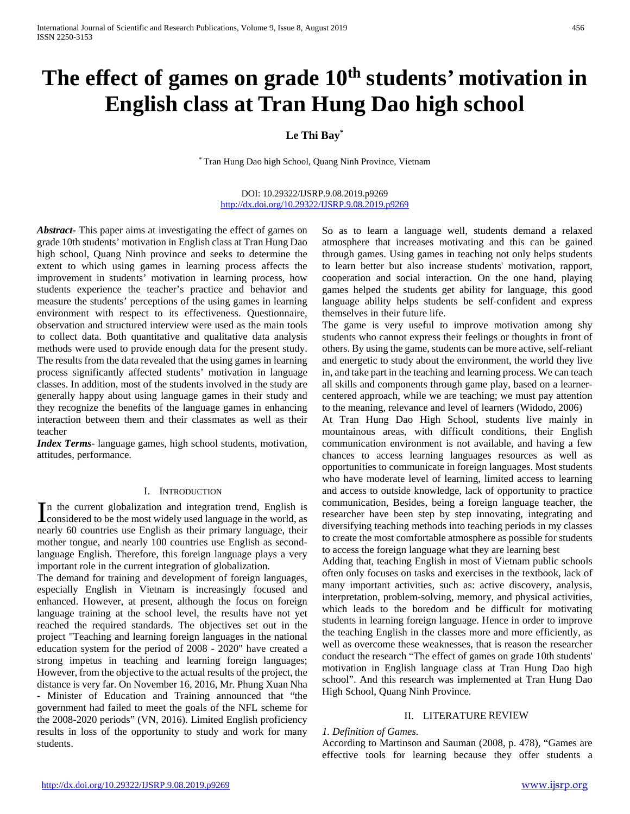# The effect of games on grade 10<sup>th</sup> students' motivation in **English class at Tran Hung Dao high school**

# **Le Thi Bay\***

\* Tran Hung Dao high School, Quang Ninh Province, Vietnam

## DOI: 10.29322/IJSRP.9.08.2019.p9269 <http://dx.doi.org/10.29322/IJSRP.9.08.2019.p9269>

*Abstract***-** This paper aims at investigating the effect of games on grade 10th students' motivation in English class at Tran Hung Dao high school, Quang Ninh province and seeks to determine the extent to which using games in learning process affects the improvement in students' motivation in learning process, how students experience the teacher's practice and behavior and measure the students' perceptions of the using games in learning environment with respect to its effectiveness. Questionnaire, observation and structured interview were used as the main tools to collect data. Both quantitative and qualitative data analysis methods were used to provide enough data for the present study. The results from the data revealed that the using games in learning process significantly affected students' motivation in language classes. In addition, most of the students involved in the study are generally happy about using language games in their study and they recognize the benefits of the language games in enhancing interaction between them and their classmates as well as their teacher

*Index Terms*- language games, high school students, motivation, attitudes, performance.

## I. INTRODUCTION

n the current globalization and integration trend, English is In the current globalization and integration trend, English is<br>considered to be the most widely used language in the world, as nearly 60 countries use English as their primary language, their mother tongue, and nearly 100 countries use English as secondlanguage English. Therefore, this foreign language plays a very important role in the current integration of globalization.

The demand for training and development of foreign languages, especially English in Vietnam is increasingly focused and enhanced. However, at present, although the focus on foreign language training at the school level, the results have not yet reached the required standards. The objectives set out in the project "Teaching and learning foreign languages in the national education system for the period of 2008 - 2020" have created a strong impetus in teaching and learning foreign languages; However, from the objective to the actual results of the project, the distance is very far. On November 16, 2016, Mr. Phung Xuan Nha - Minister of Education and Training announced that "the government had failed to meet the goals of the NFL scheme for the 2008-2020 periods" (VN, 2016). Limited English proficiency results in loss of the opportunity to study and work for many students.

So as to learn a language well, students demand a relaxed atmosphere that increases motivating and this can be gained through games. Using games in teaching not only helps students to learn better but also increase students' motivation, rapport, cooperation and social interaction. On the one hand, playing games helped the students get ability for language, this good language ability helps students be self-confident and express themselves in their future life.

The game is very useful to improve motivation among shy students who cannot express their feelings or thoughts in front of others. By using the game, students can be more active, self-reliant and energetic to study about the environment, the world they live in, and take part in the teaching and learning process. We can teach all skills and components through game play, based on a learnercentered approach, while we are teaching; we must pay attention to the meaning, relevance and level of learners (Widodo, 2006)

At Tran Hung Dao High School, students live mainly in mountainous areas, with difficult conditions, their English communication environment is not available, and having a few chances to access learning languages resources as well as opportunities to communicate in foreign languages. Most students who have moderate level of learning, limited access to learning and access to outside knowledge, lack of opportunity to practice communication, Besides, being a foreign language teacher, the researcher have been step by step innovating, integrating and diversifying teaching methods into teaching periods in my classes to create the most comfortable atmosphere as possible for students to access the foreign language what they are learning best

Adding that, teaching English in most of Vietnam public schools often only focuses on tasks and exercises in the textbook, lack of many important activities, such as: active discovery, analysis, interpretation, problem-solving, memory, and physical activities, which leads to the boredom and be difficult for motivating students in learning foreign language. Hence in order to improve the teaching English in the classes more and more efficiently, as well as overcome these weaknesses, that is reason the researcher conduct the research "The effect of games on grade 10th students' motivation in English language class at Tran Hung Dao high school". And this research was implemented at Tran Hung Dao High School, Quang Ninh Province.

# II. LITERATURE REVIEW

## *1. Definition of Games*.

According to Martinson and Sauman (2008, p. 478), "Games are effective tools for learning because they offer students a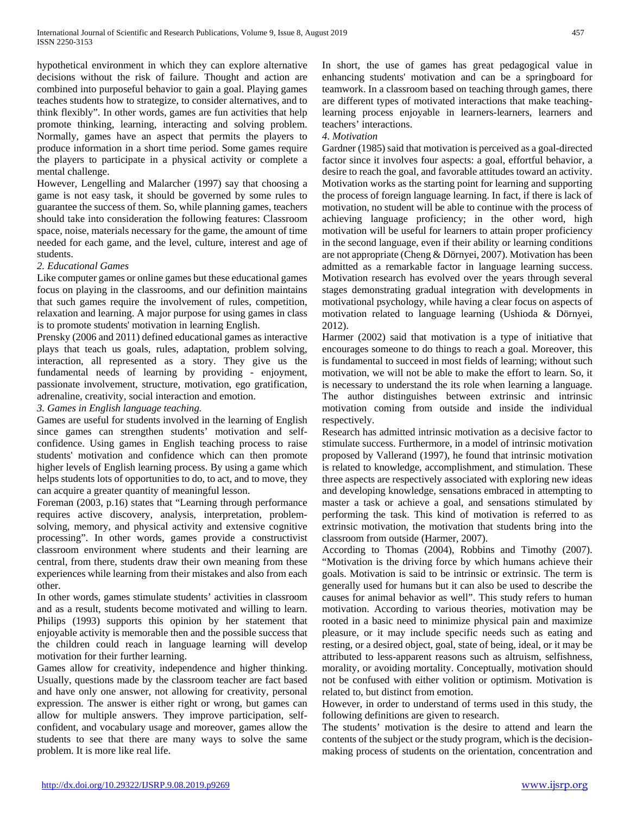hypothetical environment in which they can explore alternative decisions without the risk of failure. Thought and action are combined into purposeful behavior to gain a goal. Playing games teaches students how to strategize, to consider alternatives, and to think flexibly". In other words, games are fun activities that help promote thinking, learning, interacting and solving problem. Normally, games have an aspect that permits the players to produce information in a short time period. Some games require the players to participate in a physical activity or complete a mental challenge.

However, Lengelling and Malarcher (1997) say that choosing a game is not easy task, it should be governed by some rules to guarantee the success of them. So, while planning games, teachers should take into consideration the following features: Classroom space, noise, materials necessary for the game, the amount of time needed for each game, and the level, culture, interest and age of students.

# *2. Educational Games*

Like computer games or online games but these educational games focus on playing in the classrooms, and our definition maintains that such games require the involvement of rules, competition, relaxation and learning. A major purpose for using games in class is to promote students' motivation in learning English.

Prensky (2006 and 2011) defined educational games as interactive plays that teach us goals, rules, adaptation, problem solving, interaction, all represented as a story. They give us the fundamental needs of learning by providing - enjoyment, passionate involvement, structure, motivation, ego gratification, adrenaline, creativity, social interaction and emotion.

# *3. Games in English language teaching.*

Games are useful for students involved in the learning of English since games can strengthen students' motivation and selfconfidence. Using games in English teaching process to raise students' motivation and confidence which can then promote higher levels of English learning process. By using a game which helps students lots of opportunities to do, to act, and to move, they can acquire a greater quantity of meaningful lesson.

Foreman (2003, p.16) states that "Learning through performance requires active discovery, analysis, interpretation, problemsolving, memory, and physical activity and extensive cognitive processing". In other words, games provide a constructivist classroom environment where students and their learning are central, from there, students draw their own meaning from these experiences while learning from their mistakes and also from each other.

In other words, games stimulate students' activities in classroom and as a result, students become motivated and willing to learn. Philips (1993) supports this opinion by her statement that enjoyable activity is memorable then and the possible success that the children could reach in language learning will develop motivation for their further learning.

Games allow for creativity, independence and higher thinking. Usually, questions made by the classroom teacher are fact based and have only one answer, not allowing for creativity, personal expression. The answer is either right or wrong, but games can allow for multiple answers. They improve participation, selfconfident, and vocabulary usage and moreover, games allow the students to see that there are many ways to solve the same problem. It is more like real life.

In short, the use of games has great pedagogical value in enhancing students' motivation and can be a springboard for teamwork. In a classroom based on teaching through games, there are different types of motivated interactions that make teachinglearning process enjoyable in learners-learners, learners and teachers' interactions.

## *4. Motivation*

Gardner (1985) said that motivation is perceived as a goal-directed factor since it involves four aspects: a goal, effortful behavior, a desire to reach the goal, and favorable attitudes toward an activity. Motivation works as the starting point for learning and supporting the process of foreign language learning. In fact, if there is lack of motivation, no student will be able to continue with the process of achieving language proficiency; in the other word, high motivation will be useful for learners to attain proper proficiency in the second language, even if their ability or learning conditions are not appropriate (Cheng & Dörnyei, 2007). Motivation has been admitted as a remarkable factor in language learning success. Motivation research has evolved over the years through several stages demonstrating gradual integration with developments in motivational psychology, while having a clear focus on aspects of motivation related to language learning (Ushioda & Dörnyei, 2012).

Harmer (2002) said that motivation is a type of initiative that encourages someone to do things to reach a goal. Moreover, this is fundamental to succeed in most fields of learning; without such motivation, we will not be able to make the effort to learn. So, it is necessary to understand the its role when learning a language. The author distinguishes between extrinsic and intrinsic motivation coming from outside and inside the individual respectively.

Research has admitted intrinsic motivation as a decisive factor to stimulate success. Furthermore, in a model of intrinsic motivation proposed by Vallerand (1997), he found that intrinsic motivation is related to knowledge, accomplishment, and stimulation. These three aspects are respectively associated with exploring new ideas and developing knowledge, sensations embraced in attempting to master a task or achieve a goal, and sensations stimulated by performing the task. This kind of motivation is referred to as extrinsic motivation, the motivation that students bring into the classroom from outside (Harmer, 2007).

According to Thomas (2004), Robbins and Timothy (2007). "Motivation is the driving force by which humans achieve their goals. Motivation is said to be intrinsic or extrinsic. The term is generally used for humans but it can also be used to describe the causes for animal behavior as well". This study refers to human motivation. According to various theories, motivation may be rooted in a basic need to minimize physical pain and maximize pleasure, or it may include specific needs such as eating and resting, or a desired object, goal, state of being, ideal, or it may be attributed to less-apparent reasons such as altruism, selfishness, morality, or avoiding mortality. Conceptually, motivation should not be confused with either volition or optimism. Motivation is related to, but distinct from emotion.

However, in order to understand of terms used in this study, the following definitions are given to research.

The students' motivation is the desire to attend and learn the contents of the subject or the study program, which is the decisionmaking process of students on the orientation, concentration and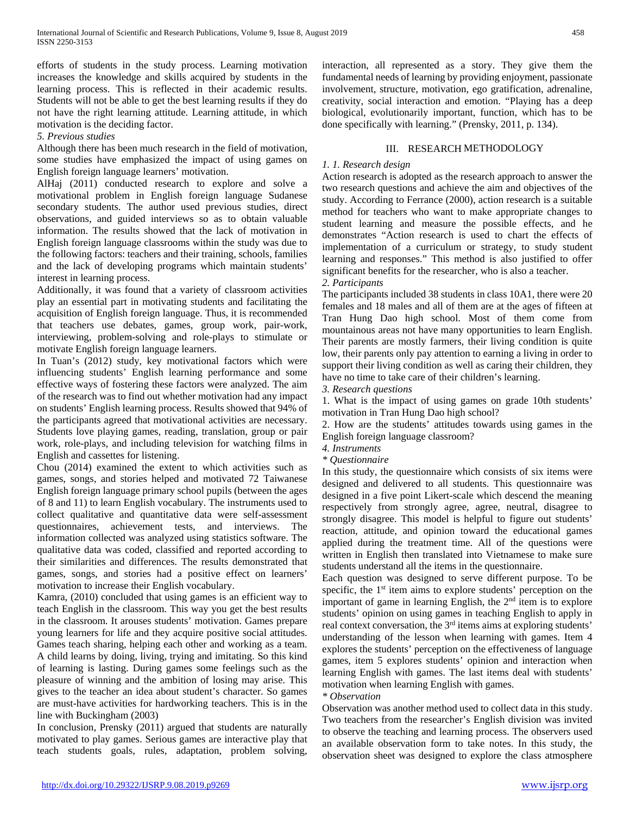efforts of students in the study process. Learning motivation increases the knowledge and skills acquired by students in the learning process. This is reflected in their academic results. Students will not be able to get the best learning results if they do not have the right learning attitude. Learning attitude, in which motivation is the deciding factor.

# *5. Previous studies*

Although there has been much research in the field of motivation, some studies have emphasized the impact of using games on English foreign language learners' motivation.

AlHaj (2011) conducted research to explore and solve a motivational problem in English foreign language Sudanese secondary students. The author used previous studies, direct observations, and guided interviews so as to obtain valuable information. The results showed that the lack of motivation in English foreign language classrooms within the study was due to the following factors: teachers and their training, schools, families and the lack of developing programs which maintain students' interest in learning process.

Additionally, it was found that a variety of classroom activities play an essential part in motivating students and facilitating the acquisition of English foreign language. Thus, it is recommended that teachers use debates, games, group work, pair-work, interviewing, problem-solving and role-plays to stimulate or motivate English foreign language learners.

In Tuan's (2012) study, key motivational factors which were influencing students' English learning performance and some effective ways of fostering these factors were analyzed. The aim of the research was to find out whether motivation had any impact on students' English learning process. Results showed that 94% of the participants agreed that motivational activities are necessary. Students love playing games, reading, translation, group or pair work, role-plays, and including television for watching films in English and cassettes for listening.

Chou (2014) examined the extent to which activities such as games, songs, and stories helped and motivated 72 Taiwanese English foreign language primary school pupils (between the ages of 8 and 11) to learn English vocabulary. The instruments used to collect qualitative and quantitative data were self-assessment questionnaires, achievement tests, and interviews. The information collected was analyzed using statistics software. The qualitative data was coded, classified and reported according to their similarities and differences. The results demonstrated that games, songs, and stories had a positive effect on learners' motivation to increase their English vocabulary.

Kamra, (2010) concluded that using games is an efficient way to teach English in the classroom. This way you get the best results in the classroom. It arouses students' motivation. Games prepare young learners for life and they acquire positive social attitudes. Games teach sharing, helping each other and working as a team. A child learns by doing, living, trying and imitating. So this kind of learning is lasting. During games some feelings such as the pleasure of winning and the ambition of losing may arise. This gives to the teacher an idea about student's character. So games are must-have activities for hardworking teachers. This is in the line with Buckingham (2003)

In conclusion, Prensky (2011) argued that students are naturally motivated to play games. Serious games are interactive play that teach students goals, rules, adaptation, problem solving,

interaction, all represented as a story. They give them the fundamental needs of learning by providing enjoyment, passionate involvement, structure, motivation, ego gratification, adrenaline, creativity, social interaction and emotion. "Playing has a deep biological, evolutionarily important, function, which has to be done specifically with learning." (Prensky, 2011, p. 134).

# III. RESEARCH METHODOLOGY

# *1. 1. Research design*

Action research is adopted as the research approach to answer the two research questions and achieve the aim and objectives of the study. According to Ferrance (2000), action research is a suitable method for teachers who want to make appropriate changes to student learning and measure the possible effects, and he demonstrates "Action research is used to chart the effects of implementation of a curriculum or strategy, to study student learning and responses." This method is also justified to offer significant benefits for the researcher, who is also a teacher. *2. Participants*

The participants included 38 students in class 10A1, there were 20 females and 18 males and all of them are at the ages of fifteen at Tran Hung Dao high school. Most of them come from mountainous areas not have many opportunities to learn English. Their parents are mostly farmers, their living condition is quite low, their parents only pay attention to earning a living in order to support their living condition as well as caring their children, they have no time to take care of their children's learning.

*3. Research questions*

1. What is the impact of using games on grade 10th students' motivation in Tran Hung Dao high school?

2. How are the students' attitudes towards using games in the English foreign language classroom?

*4. Instruments*

*\* Questionnaire*

In this study, the questionnaire which consists of six items were designed and delivered to all students. This questionnaire was designed in a five point Likert-scale which descend the meaning respectively from strongly agree, agree, neutral, disagree to strongly disagree. This model is helpful to figure out students' reaction, attitude, and opinion toward the educational games applied during the treatment time. All of the questions were written in English then translated into Vietnamese to make sure students understand all the items in the questionnaire.

Each question was designed to serve different purpose. To be specific, the  $1<sup>st</sup>$  item aims to explore students' perception on the important of game in learning English, the  $2<sup>nd</sup>$  item is to explore students' opinion on using games in teaching English to apply in real context conversation, the 3<sup>rd</sup> items aims at exploring students' understanding of the lesson when learning with games. Item 4 explores the students' perception on the effectiveness of language games, item 5 explores students' opinion and interaction when learning English with games. The last items deal with students' motivation when learning English with games.

# *\* Observation*

Observation was another method used to collect data in this study. Two teachers from the researcher's English division was invited to observe the teaching and learning process. The observers used an available observation form to take notes. In this study, the observation sheet was designed to explore the class atmosphere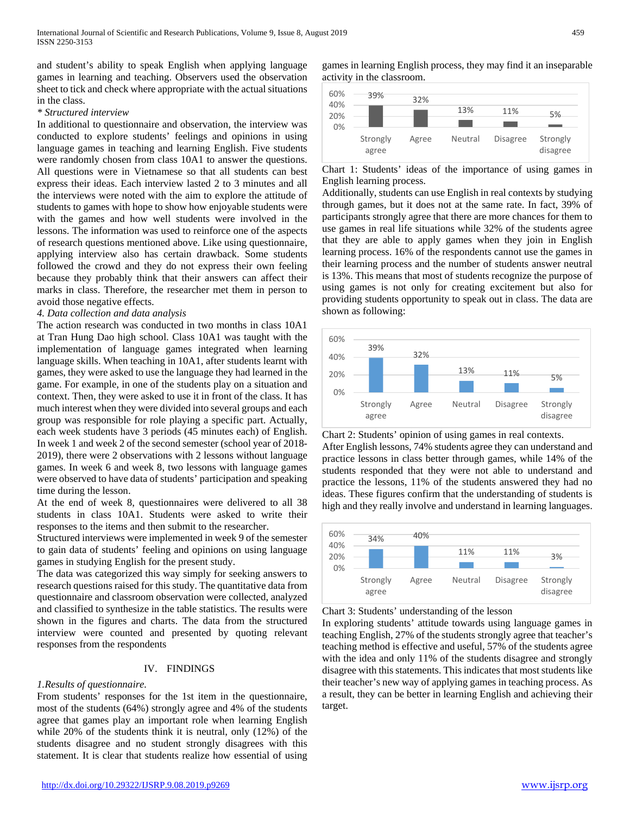and student's ability to speak English when applying language games in learning and teaching. Observers used the observation sheet to tick and check where appropriate with the actual situations in the class.

## *\* Structured interview*

In additional to questionnaire and observation, the interview was conducted to explore students' feelings and opinions in using language games in teaching and learning English. Five students were randomly chosen from class 10A1 to answer the questions. All questions were in Vietnamese so that all students can best express their ideas. Each interview lasted 2 to 3 minutes and all the interviews were noted with the aim to explore the attitude of students to games with hope to show how enjoyable students were with the games and how well students were involved in the lessons. The information was used to reinforce one of the aspects of research questions mentioned above. Like using questionnaire, applying interview also has certain drawback. Some students followed the crowd and they do not express their own feeling because they probably think that their answers can affect their marks in class. Therefore, the researcher met them in person to avoid those negative effects.

## *4. Data collection and data analysis*

The action research was conducted in two months in class 10A1 at Tran Hung Dao high school. Class 10A1 was taught with the implementation of language games integrated when learning language skills. When teaching in 10A1, after students learnt with games, they were asked to use the language they had learned in the game. For example, in one of the students play on a situation and context. Then, they were asked to use it in front of the class. It has much interest when they were divided into several groups and each group was responsible for role playing a specific part. Actually, each week students have 3 periods (45 minutes each) of English. In week 1 and week 2 of the second semester (school year of 2018- 2019), there were 2 observations with 2 lessons without language games. In week 6 and week 8, two lessons with language games were observed to have data of students' participation and speaking time during the lesson.

At the end of week 8, questionnaires were delivered to all 38 students in class 10A1. Students were asked to write their responses to the items and then submit to the researcher.

Structured interviews were implemented in week 9 of the semester to gain data of students' feeling and opinions on using language games in studying English for the present study.

The data was categorized this way simply for seeking answers to research questions raised for this study. The quantitative data from questionnaire and classroom observation were collected, analyzed and classified to synthesize in the table statistics. The results were shown in the figures and charts. The data from the structured interview were counted and presented by quoting relevant responses from the respondents

## IV. FINDINGS

## *1.Results of questionnaire.*

From students' responses for the 1st item in the questionnaire, most of the students (64%) strongly agree and 4% of the students agree that games play an important role when learning English while 20% of the students think it is neutral, only (12%) of the students disagree and no student strongly disagrees with this statement. It is clear that students realize how essential of using games in learning English process, they may find it an inseparable activity in the classroom.



Chart 1: Students' ideas of the importance of using games in English learning process.

Additionally, students can use English in real contexts by studying through games, but it does not at the same rate. In fact, 39% of participants strongly agree that there are more chances for them to use games in real life situations while 32% of the students agree that they are able to apply games when they join in English learning process. 16% of the respondents cannot use the games in their learning process and the number of students answer neutral is 13%. This means that most of students recognize the purpose of using games is not only for creating excitement but also for providing students opportunity to speak out in class. The data are shown as following:



Chart 2: Students' opinion of using games in real contexts.

After English lessons, 74% students agree they can understand and practice lessons in class better through games, while 14% of the students responded that they were not able to understand and practice the lessons, 11% of the students answered they had no ideas. These figures confirm that the understanding of students is high and they really involve and understand in learning languages.



Chart 3: Students' understanding of the lesson

In exploring students' attitude towards using language games in teaching English, 27% of the students strongly agree that teacher's teaching method is effective and useful, 57% of the students agree with the idea and only 11% of the students disagree and strongly disagree with this statements. This indicates that most students like their teacher's new way of applying games in teaching process. As a result, they can be better in learning English and achieving their target.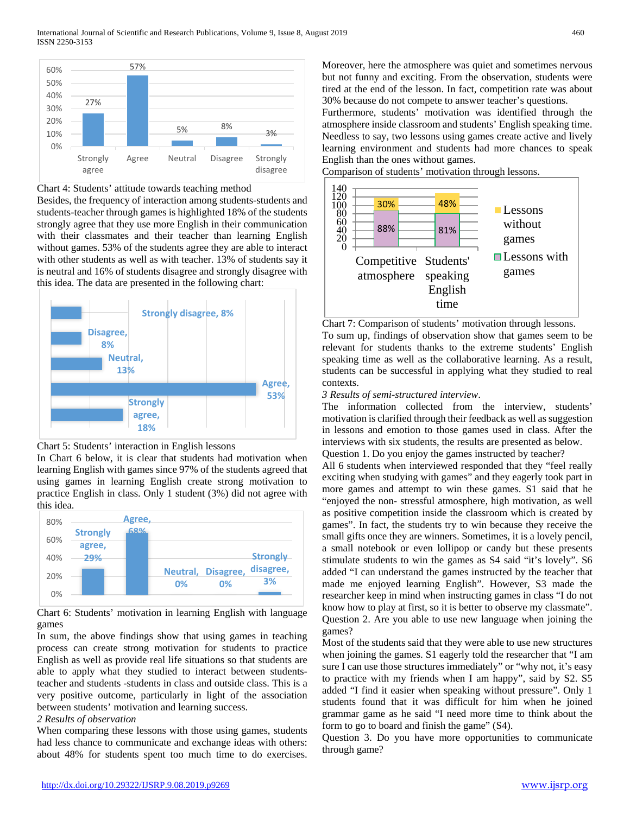

Chart 4: Students' attitude towards teaching method

Besides, the frequency of interaction among students-students and students-teacher through games is highlighted 18% of the students strongly agree that they use more English in their communication with their classmates and their teacher than learning English without games. 53% of the students agree they are able to interact with other students as well as with teacher. 13% of students say it is neutral and 16% of students disagree and strongly disagree with this idea. The data are presented in the following chart:





In Chart 6 below, it is clear that students had motivation when learning English with games since 97% of the students agreed that using games in learning English create strong motivation to practice English in class. Only 1 student (3%) did not agree with this idea.



Chart 6: Students' motivation in learning English with language games

In sum, the above findings show that using games in teaching process can create strong motivation for students to practice English as well as provide real life situations so that students are able to apply what they studied to interact between studentsteacher and students -students in class and outside class. This is a very positive outcome, particularly in light of the association between students' motivation and learning success.

# *2 Results of observation*

When comparing these lessons with those using games, students had less chance to communicate and exchange ideas with others: about 48% for students spent too much time to do exercises.

Moreover, here the atmosphere was quiet and sometimes nervous but not funny and exciting. From the observation, students were tired at the end of the lesson. In fact, competition rate was about 30% because do not compete to answer teacher's questions.

Furthermore, students' motivation was identified through the atmosphere inside classroom and students' English speaking time. Needless to say, two lessons using games create active and lively learning environment and students had more chances to speak English than the ones without games.

Comparison of students' motivation through lessons.



Chart 7: Comparison of students' motivation through lessons.

To sum up, findings of observation show that games seem to be relevant for students thanks to the extreme students' English speaking time as well as the collaborative learning. As a result, students can be successful in applying what they studied to real contexts.

# *3 Results of semi-structured interview*.

The information collected from the interview, students' motivation is clarified through their feedback as well as suggestion in lessons and emotion to those games used in class. After the interviews with six students, the results are presented as below. Question 1. Do you enjoy the games instructed by teacher?

All 6 students when interviewed responded that they "feel really exciting when studying with games" and they eagerly took part in more games and attempt to win these games. S1 said that he "enjoyed the non- stressful atmosphere, high motivation, as well as positive competition inside the classroom which is created by games". In fact, the students try to win because they receive the small gifts once they are winners. Sometimes, it is a lovely pencil, a small notebook or even lollipop or candy but these presents stimulate students to win the games as S4 said "it's lovely". S6 added "I can understand the games instructed by the teacher that made me enjoyed learning English". However, S3 made the researcher keep in mind when instructing games in class "I do not know how to play at first, so it is better to observe my classmate". Question 2. Are you able to use new language when joining the games?

Most of the students said that they were able to use new structures when joining the games. S1 eagerly told the researcher that "I am sure I can use those structures immediately" or "why not, it's easy to practice with my friends when I am happy", said by S2. S5 added "I find it easier when speaking without pressure". Only 1 students found that it was difficult for him when he joined grammar game as he said "I need more time to think about the form to go to board and finish the game" (S4).

Question 3. Do you have more opportunities to communicate through game?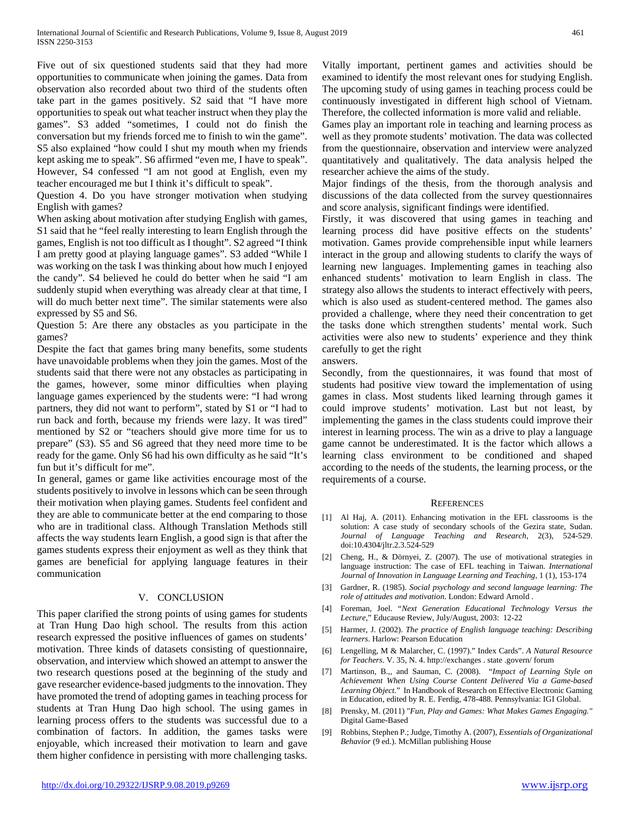Five out of six questioned students said that they had more opportunities to communicate when joining the games. Data from observation also recorded about two third of the students often take part in the games positively. S2 said that "I have more opportunities to speak out what teacher instruct when they play the games". S3 added "sometimes, I could not do finish the conversation but my friends forced me to finish to win the game". S5 also explained "how could I shut my mouth when my friends kept asking me to speak". S6 affirmed "even me, I have to speak". However, S4 confessed "I am not good at English, even my teacher encouraged me but I think it's difficult to speak".

Question 4. Do you have stronger motivation when studying English with games?

When asking about motivation after studying English with games, S1 said that he "feel really interesting to learn English through the games, English is not too difficult as I thought". S2 agreed "I think I am pretty good at playing language games". S3 added "While I was working on the task I was thinking about how much I enjoyed the candy". S4 believed he could do better when he said "I am suddenly stupid when everything was already clear at that time, I will do much better next time". The similar statements were also expressed by S5 and S6.

Question 5: Are there any obstacles as you participate in the games?

Despite the fact that games bring many benefits, some students have unavoidable problems when they join the games. Most of the students said that there were not any obstacles as participating in the games, however, some minor difficulties when playing language games experienced by the students were: "I had wrong partners, they did not want to perform", stated by S1 or "I had to run back and forth, because my friends were lazy. It was tired" mentioned by S2 or "teachers should give more time for us to prepare" (S3). S5 and S6 agreed that they need more time to be ready for the game. Only S6 had his own difficulty as he said "It's fun but it's difficult for me".

In general, games or game like activities encourage most of the students positively to involve in lessons which can be seen through their motivation when playing games. Students feel confident and they are able to communicate better at the end comparing to those who are in traditional class. Although Translation Methods still affects the way students learn English, a good sign is that after the games students express their enjoyment as well as they think that games are beneficial for applying language features in their communication

# V. CONCLUSION

This paper clarified the strong points of using games for students at Tran Hung Dao high school. The results from this action research expressed the positive influences of games on students' motivation. Three kinds of datasets consisting of questionnaire, observation, and interview which showed an attempt to answer the two research questions posed at the beginning of the study and gave researcher evidence-based judgments to the innovation. They have promoted the trend of adopting games in teaching process for students at Tran Hung Dao high school. The using games in learning process offers to the students was successful due to a combination of factors. In addition, the games tasks were enjoyable, which increased their motivation to learn and gave them higher confidence in persisting with more challenging tasks.

Vitally important, pertinent games and activities should be examined to identify the most relevant ones for studying English. The upcoming study of using games in teaching process could be continuously investigated in different high school of Vietnam. Therefore, the collected information is more valid and reliable.

Games play an important role in teaching and learning process as well as they promote students' motivation. The data was collected from the questionnaire, observation and interview were analyzed quantitatively and qualitatively. The data analysis helped the researcher achieve the aims of the study.

Major findings of the thesis, from the thorough analysis and discussions of the data collected from the survey questionnaires and score analysis, significant findings were identified.

Firstly, it was discovered that using games in teaching and learning process did have positive effects on the students' motivation. Games provide comprehensible input while learners interact in the group and allowing students to clarify the ways of learning new languages. Implementing games in teaching also enhanced students' motivation to learn English in class. The strategy also allows the students to interact effectively with peers, which is also used as student-centered method. The games also provided a challenge, where they need their concentration to get the tasks done which strengthen students' mental work. Such activities were also new to students' experience and they think carefully to get the right

answers.

Secondly, from the questionnaires, it was found that most of students had positive view toward the implementation of using games in class. Most students liked learning through games it could improve students' motivation. Last but not least, by implementing the games in the class students could improve their interest in learning process. The win as a drive to play a language game cannot be underestimated. It is the factor which allows a learning class environment to be conditioned and shaped according to the needs of the students, the learning process, or the requirements of a course.

## **REFERENCES**

- [1] Al Haj, A. (2011). Enhancing motivation in the EFL classrooms is the solution: A case study of secondary schools of the Gezira state, Sudan. *Journal of Language Teaching and Research*, 2(3), 524-529. doi:10.4304/jltr.2.3.524-529
- [2] Cheng, H., & Dörnyei, Z. (2007). The use of motivational strategies in language instruction: The case of EFL teaching in Taiwan. *International Journal of Innovation in Language Learning and Teaching*, 1 (1), 153-174
- [3] Gardner, R. (1985). *Social psychology and second language learning: The role of attitudes and motivation*. London: Edward Arnold .
- [4] Foreman, Joel. "*Next Generation Educational Technology Versus the Lecture*," Educause Review, July/August, 2003: 12-22
- [5] Harmer, J. (2002). *The practice of English language teaching: Describing learners*. Harlow: Pearson Education
- [6] Lengelling, M & Malarcher, C. (1997)." Index Cards". *A Natural Resource for Teachers*. V. 35, N. 4. http://exchanges . state .govern/ forum
- [7] Martinson, B.,, and Sauman, C. (2008). "*Impact of Learning Style on Achievement When Using Course Content Delivered Via a Game-based Learning Object.*" In Handbook of Research on Effective Electronic Gaming in Education, edited by R. E. Ferdig, 478-488. Pennsylvania: IGI Global.
- [8] Prensky, M. (2011) "*Fun, Play and Games: What Makes Games Engaging."*  Digital Game-Based
- [9] Robbins, Stephen P.; Judge, Timothy A. (2007), *Essentials of Organizational Behavior* (9 ed.). McMillan publishing House